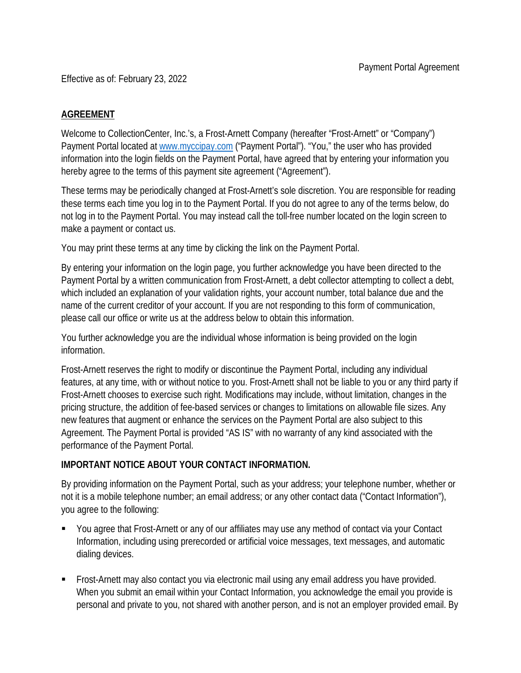Effective as of: February 23, 2022

## **AGREEMENT**

Welcome to CollectionCenter, Inc.'s, a Frost-Arnett Company (hereafter "Frost-Arnett" or "Company") Payment Portal located at [www.myccipay.com](http://www.myccipay.com/) ("Payment Portal"). "You," the user who has provided information into the login fields on the Payment Portal, have agreed that by entering your information you hereby agree to the terms of this payment site agreement ("Agreement").

These terms may be periodically changed at Frost-Arnett's sole discretion. You are responsible for reading these terms each time you log in to the Payment Portal. If you do not agree to any of the terms below, do not log in to the Payment Portal. You may instead call the toll-free number located on the login screen to make a payment or contact us.

You may print these terms at any time by clicking the link on the Payment Portal.

By entering your information on the login page, you further acknowledge you have been directed to the Payment Portal by a written communication from Frost-Arnett, a debt collector attempting to collect a debt, which included an explanation of your validation rights, your account number, total balance due and the name of the current creditor of your account. If you are not responding to this form of communication, please call our office or write us at the address below to obtain this information.

You further acknowledge you are the individual whose information is being provided on the login information.

Frost-Arnett reserves the right to modify or discontinue the Payment Portal, including any individual features, at any time, with or without notice to you. Frost-Arnett shall not be liable to you or any third party if Frost-Arnett chooses to exercise such right. Modifications may include, without limitation, changes in the pricing structure, the addition of fee-based services or changes to limitations on allowable file sizes. Any new features that augment or enhance the services on the Payment Portal are also subject to this Agreement. The Payment Portal is provided "AS IS" with no warranty of any kind associated with the performance of the Payment Portal.

## **IMPORTANT NOTICE ABOUT YOUR CONTACT INFORMATION.**

By providing information on the Payment Portal, such as your address; your telephone number, whether or not it is a mobile telephone number; an email address; or any other contact data ("Contact Information"), you agree to the following:

- You agree that Frost-Arnett or any of our affiliates may use any method of contact via your Contact Information, including using prerecorded or artificial voice messages, text messages, and automatic dialing devices.
- Frost-Arnett may also contact you via electronic mail using any email address you have provided. When you submit an email within your Contact Information, you acknowledge the email you provide is personal and private to you, not shared with another person, and is not an employer provided email. By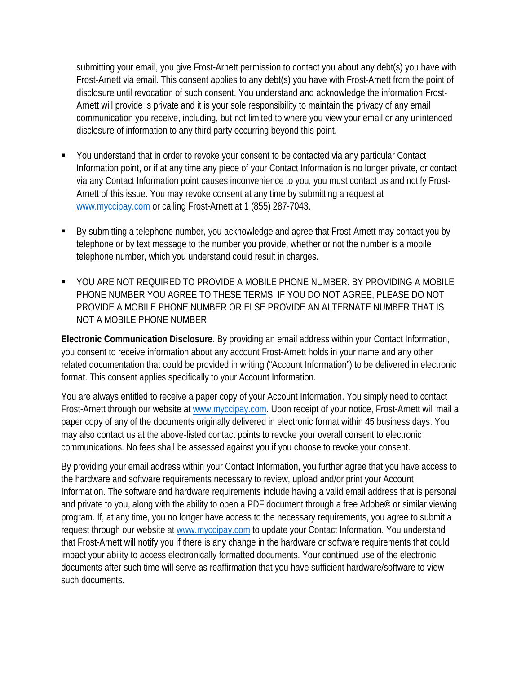submitting your email, you give Frost-Arnett permission to contact you about any debt(s) you have with Frost-Arnett via email. This consent applies to any debt(s) you have with Frost-Arnett from the point of disclosure until revocation of such consent. You understand and acknowledge the information Frost-Arnett will provide is private and it is your sole responsibility to maintain the privacy of any email communication you receive, including, but not limited to where you view your email or any unintended disclosure of information to any third party occurring beyond this point.

- You understand that in order to revoke your consent to be contacted via any particular Contact Information point, or if at any time any piece of your Contact Information is no longer private, or contact via any Contact Information point causes inconvenience to you, you must contact us and notify Frost-Arnett of this issue. You may revoke consent at any time by [submitting](mailto:submitting) a request at [www.myccipay.com](http://www.myccipay.com/) or calling Frost-Arnett at 1 (855) 287-7043.
- By submitting a telephone number, you acknowledge and agree that Frost-Arnett may contact you by telephone or by text message to the number you provide, whether or not the number is a mobile telephone number, which you understand could result in charges.
- YOU ARE NOT REQUIRED TO PROVIDE A MOBILE PHONE NUMBER. BY PROVIDING A MOBILE PHONE NUMBER YOU AGREE TO THESE TERMS. IF YOU DO NOT AGREE, PLEASE DO NOT PROVIDE A MOBILE PHONE NUMBER OR ELSE PROVIDE AN ALTERNATE NUMBER THAT IS NOT A MOBILE PHONE NUMBER.

**Electronic Communication Disclosure.** By providing an email address within your Contact Information, you consent to receive information about any account Frost-Arnett holds in your name and any other related documentation that could be provided in writing ("Account Information") to be delivered in electronic format. This consent applies specifically to your Account Information.

You are always entitled to receive a paper copy of your Account Information. You simply need to contact Frost-Arnett [through](mailto:through) our website at [www.myccipay.com.](http://www.myccipay.com/) Upon receipt of your notice, Frost-Arnett will mail a paper copy of any of the documents originally delivered in electronic format within 45 business days. You may also contact us at the above-listed contact points to revoke your overall consent to electronic communications. No fees shall be assessed against you if you choose to revoke your consent.

By providing your email address within your Contact Information, you further agree that you have access to the hardware and software requirements necessary to review, upload and/or print your Account Information. The software and hardware requirements include having a valid email address that is personal and private to you, along with the ability to open a PDF document through a free Adobe® or similar viewing program. If, at any time, you no longer have access to the necessary requirements, you agree to submit a request through our website at [www.myccipay.com](http://www.myccipay.com/) to update your Contact Information. You understand that Frost-Arnett will notify you if there is any change in the hardware or software requirements that could impact your ability to access electronically formatted documents. Your continued use of the electronic documents after such time will serve as reaffirmation that you have sufficient hardware/software to view such documents.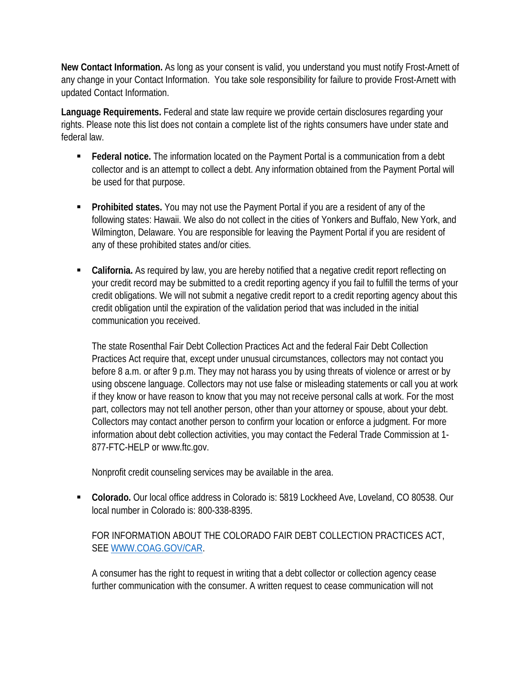**New Contact Information.** As long as your consent is valid, you understand you must notify Frost-Arnett of any change in your Contact Information. You take sole responsibility for failure to provide Frost-Arnett with updated Contact Information.

**Language Requirements.** Federal and state law require we provide certain disclosures regarding your rights. Please note this list does not contain a complete list of the rights consumers have under state and federal law.

- **Federal notice.** The information located on the Payment Portal is a communication from a debt collector and is an attempt to collect a debt. Any information obtained from the Payment Portal will be used for that purpose.
- **Prohibited states.** You may not use the Payment Portal if you are a resident of any of the following states: Hawaii. We also do not collect in the cities of Yonkers and Buffalo, New York, and Wilmington, Delaware. You are responsible for leaving the Payment Portal if you are resident of any of these prohibited states and/or cities.
- **California.** As required by law, you are hereby notified that a negative credit report reflecting on your credit record may be submitted to a credit reporting agency if you fail to fulfill the terms of your credit obligations. We will not submit a negative credit report to a credit reporting agency about this credit obligation until the expiration of the validation period that was included in the initial communication you received.

The state Rosenthal Fair Debt Collection Practices Act and the federal Fair Debt Collection Practices Act require that, except under unusual circumstances, collectors may not contact you before 8 a.m. or after 9 p.m. They may not harass you by using threats of violence or arrest or by using obscene language. Collectors may not use false or misleading statements or call you at work if they know or have reason to know that you may not receive personal calls at work. For the most part, collectors may not tell another person, other than your attorney or spouse, about your debt. Collectors may contact another person to confirm your location or enforce a judgment. For more information about debt collection activities, you may contact the Federal Trade Commission at 1- 877-FTC-HELP or www.ftc.gov.

Nonprofit credit counseling services may be available in the area.

 **Colorado.** Our local office address in Colorado is: 5819 Lockheed Ave, Loveland, CO 80538. Our local number in Colorado is: 800-338-8395.

FOR INFORMATION ABOUT THE COLORADO FAIR DEBT COLLECTION PRACTICES ACT, SEE [WWW.COAG.GOV/CAR.](http://www.coag.gov/CAR)

A consumer has the right to request in writing that a debt collector or collection agency cease further communication with the consumer. A written request to cease communication will not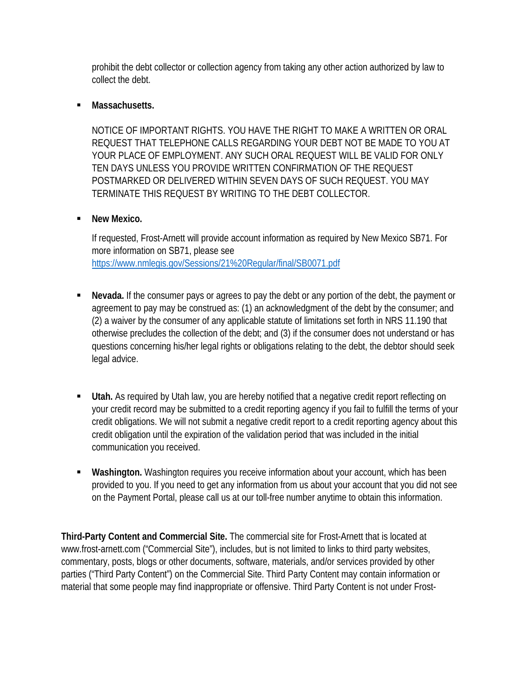prohibit the debt collector or collection agency from taking any other action authorized by law to collect the debt.

## **Massachusetts.**

NOTICE OF IMPORTANT RIGHTS. YOU HAVE THE RIGHT TO MAKE A WRITTEN OR ORAL REQUEST THAT TELEPHONE CALLS REGARDING YOUR DEBT NOT BE MADE TO YOU AT YOUR PLACE OF EMPLOYMENT. ANY SUCH ORAL REQUEST WILL BE VALID FOR ONLY TEN DAYS UNLESS YOU PROVIDE WRITTEN CONFIRMATION OF THE REQUEST POSTMARKED OR DELIVERED WITHIN SEVEN DAYS OF SUCH REQUEST. YOU MAY TERMINATE THIS REQUEST BY WRITING TO THE DEBT COLLECTOR.

## **New Mexico.**

If requested, Frost-Arnett will provide account information as required by New Mexico SB71. For more information on SB71, please see <https://www.nmlegis.gov/Sessions/21%20Regular/final/SB0071.pdf>

- **Nevada.** If the consumer pays or agrees to pay the debt or any portion of the debt, the payment or agreement to pay may be construed as: (1) an acknowledgment of the debt by the consumer; and (2) a waiver by the consumer of any applicable statute of limitations set forth in NRS 11.190 that otherwise precludes the collection of the debt; and (3) if the consumer does not understand or has questions concerning his/her legal rights or obligations relating to the debt, the debtor should seek legal advice.
- **Utah.** As required by Utah law, you are hereby notified that a negative credit report reflecting on your credit record may be submitted to a credit reporting agency if you fail to fulfill the terms of your credit obligations. We will not submit a negative credit report to a credit reporting agency about this credit obligation until the expiration of the validation period that was included in the initial communication you received.
- **Washington.** Washington requires you receive information about your account, which has been provided to you. If you need to get any information from us about your account that you did not see on the Payment Portal, please call us at our toll-free number anytime to obtain this information.

**Third-Party Content and Commercial Site.** The commercial site for Frost-Arnett that is located at www.frost-arnett.com ("Commercial Site"), includes, but is not limited to links to third party websites, commentary, posts, blogs or other documents, software, materials, and/or services provided by other parties ("Third Party Content") on the Commercial Site. Third Party Content may contain information or material that some people may find inappropriate or offensive. Third Party Content is not under Frost